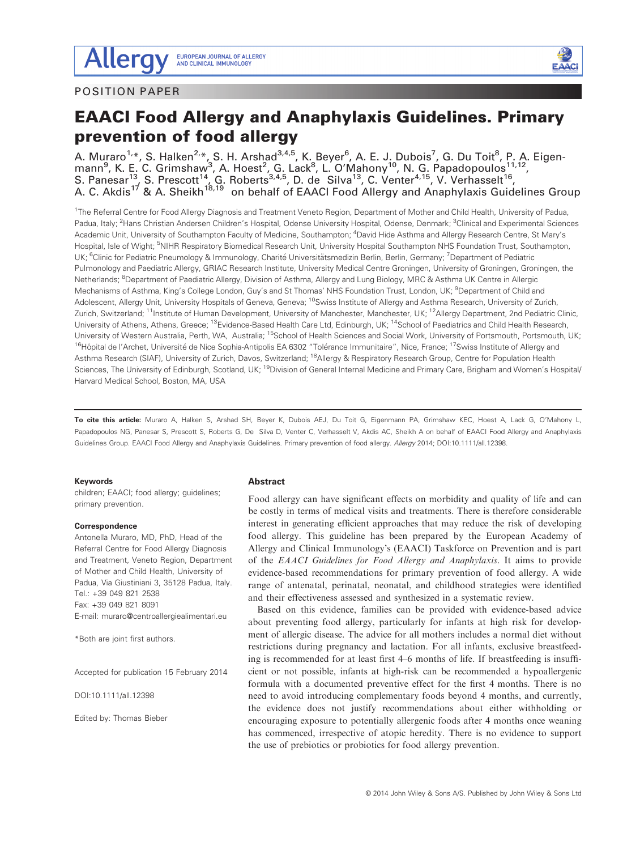# POSITION PAPER

Allerg



# EAACI Food Allergy and Anaphylaxis Guidelines. Primary prevention of food allergy

A. Muraro<sup>1,</sup>\*, S. Halken<sup>2,</sup>\*, S. H. Arshad<sup>3,4,5</sup>, K. Beyer<sup>6</sup>, A. E. J. Dubois<sup>7</sup>, G. Du Toit<sup>8</sup>, P. A. Eigenmann<sup>9</sup>, K. E. C. Grimshaw<sup>3</sup>, A. Hoest<sup>2</sup>, G. Lack<sup>8</sup>, L. O'Mahony<sup>10</sup>, N. G. Papadopoulos<sup>11,12</sup>, S. Panesar<sup>13</sup>, S. Prescott<sup>14</sup>, G. Roberts<sup>3,4,5</sup>, D. de Silva<sup>13</sup>, C. Venter<sup>4,15</sup>, V. Verhasselt<sup>16</sup>, A. C. Akdis<sup>17</sup> & A. Sheikh<sup>18,19</sup> on behalf of EAACI Food Allergy and Anaphylaxis Guidelines Group

<sup>1</sup>The Referral Centre for Food Allergy Diagnosis and Treatment Veneto Region, Department of Mother and Child Health, University of Padua, Padua, Italy; <sup>2</sup>Hans Christian Andersen Children's Hospital, Odense University Hospital, Odense, Denmark; <sup>3</sup>Clinical and Experimental Sciences Academic Unit, University of Southampton Faculty of Medicine, Southampton; <sup>4</sup>David Hide Asthma and Allergy Research Centre, St Mary's Hospital, Isle of Wight; <sup>5</sup>NIHR Respiratory Biomedical Research Unit, University Hospital Southampton NHS Foundation Trust, Southampton, UK; <sup>6</sup>Clinic for Pediatric Pneumology & Immunology, Charité Universitätsmedizin Berlin, Berlin, Germany; <sup>7</sup>Department of Pediatric Pulmonology and Paediatric Allergy, GRIAC Research Institute, University Medical Centre Groningen, University of Groningen, Groningen, the Netherlands; <sup>8</sup>Department of Paediatric Allergy, Division of Asthma, Allergy and Lung Biology, MRC & Asthma UK Centre in Allergic Mechanisms of Asthma, King's College London, Guy's and St Thomas' NHS Foundation Trust, London, UK; <sup>9</sup>Department of Child and Adolescent, Allergy Unit, University Hospitals of Geneva, Geneva; <sup>10</sup>Swiss Institute of Allergy and Asthma Research, University of Zurich, Zurich, Switzerland; <sup>11</sup>Institute of Human Development, University of Manchester, Manchester, UK; <sup>12</sup>Allergy Department, 2nd Pediatric Clinic, University of Athens, Athens, Greece; <sup>13</sup>Evidence-Based Health Care Ltd, Edinburgh, UK; <sup>14</sup>School of Paediatrics and Child Health Research, University of Western Australia, Perth, WA, Australia; <sup>15</sup>School of Health Sciences and Social Work, University of Portsmouth, Portsmouth, UK; <sup>16</sup>Hôpital de l'Archet, Université de Nice Sophia-Antipolis EA 6302 "Tolérance Immunitaire", Nice, France; <sup>17</sup>Swiss Institute of Allergy and Asthma Research (SIAF), University of Zurich, Davos, Switzerland; <sup>18</sup>Allergy & Respiratory Research Group, Centre for Population Health Sciences, The University of Edinburgh, Scotland, UK; <sup>19</sup>Division of General Internal Medicine and Primary Care, Brigham and Women's Hospital/ Harvard Medical School, Boston, MA, USA

To cite this article: Muraro A, Halken S, Arshad SH, Beyer K, Dubois AEJ, Du Toit G, Eigenmann PA, Grimshaw KEC, Hoest A, Lack G, O'Mahony L, Papadopoulos NG, Panesar S, Prescott S, Roberts G, De, Silva D, Venter C, Verhasselt V, Akdis AC, Sheikh A on behalf of EAACI Food Allergy and Anaphylaxis Guidelines Group. EAACI Food Allergy and Anaphylaxis Guidelines. Primary prevention of food allergy. Allergy 2014; DOI:10.1111/all.12398.

## Keywords

children; EAACI; food allergy; guidelines; primary prevention.

## Correspondence

Antonella Muraro, MD, PhD, Head of the Referral Centre for Food Allergy Diagnosis and Treatment, Veneto Region, Department of Mother and Child Health, University of Padua, Via Giustiniani 3, 35128 Padua, Italy. Tel.: +39 049 821 2538 Fax: +39 049 821 8091 E-mail: muraro@centroallergiealimentari.eu

\*Both are joint first authors.

Accepted for publication 15 February 2014

DOI:10.1111/all.12398

Edited by: Thomas Bieber

# Abstract

Food allergy can have significant effects on morbidity and quality of life and can be costly in terms of medical visits and treatments. There is therefore considerable interest in generating efficient approaches that may reduce the risk of developing food allergy. This guideline has been prepared by the European Academy of Allergy and Clinical Immunology's (EAACI) Taskforce on Prevention and is part of the EAACI Guidelines for Food Allergy and Anaphylaxis. It aims to provide evidence-based recommendations for primary prevention of food allergy. A wide range of antenatal, perinatal, neonatal, and childhood strategies were identified and their effectiveness assessed and synthesized in a systematic review.

Based on this evidence, families can be provided with evidence-based advice about preventing food allergy, particularly for infants at high risk for development of allergic disease. The advice for all mothers includes a normal diet without restrictions during pregnancy and lactation. For all infants, exclusive breastfeeding is recommended for at least first 4–6 months of life. If breastfeeding is insufficient or not possible, infants at high-risk can be recommended a hypoallergenic formula with a documented preventive effect for the first 4 months. There is no need to avoid introducing complementary foods beyond 4 months, and currently, the evidence does not justify recommendations about either withholding or encouraging exposure to potentially allergenic foods after 4 months once weaning has commenced, irrespective of atopic heredity. There is no evidence to support the use of prebiotics or probiotics for food allergy prevention.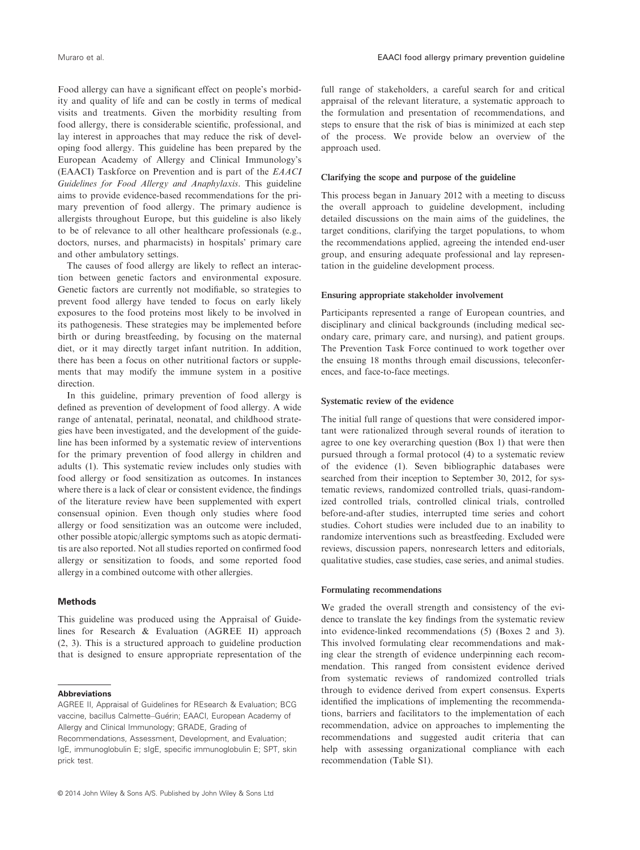Food allergy can have a significant effect on people's morbidity and quality of life and can be costly in terms of medical visits and treatments. Given the morbidity resulting from food allergy, there is considerable scientific, professional, and lay interest in approaches that may reduce the risk of developing food allergy. This guideline has been prepared by the European Academy of Allergy and Clinical Immunology's (EAACI) Taskforce on Prevention and is part of the EAACI Guidelines for Food Allergy and Anaphylaxis. This guideline aims to provide evidence-based recommendations for the primary prevention of food allergy. The primary audience is allergists throughout Europe, but this guideline is also likely to be of relevance to all other healthcare professionals (e.g., doctors, nurses, and pharmacists) in hospitals' primary care and other ambulatory settings.

The causes of food allergy are likely to reflect an interaction between genetic factors and environmental exposure. Genetic factors are currently not modifiable, so strategies to prevent food allergy have tended to focus on early likely exposures to the food proteins most likely to be involved in its pathogenesis. These strategies may be implemented before birth or during breastfeeding, by focusing on the maternal diet, or it may directly target infant nutrition. In addition, there has been a focus on other nutritional factors or supplements that may modify the immune system in a positive direction.

In this guideline, primary prevention of food allergy is defined as prevention of development of food allergy. A wide range of antenatal, perinatal, neonatal, and childhood strategies have been investigated, and the development of the guideline has been informed by a systematic review of interventions for the primary prevention of food allergy in children and adults (1). This systematic review includes only studies with food allergy or food sensitization as outcomes. In instances where there is a lack of clear or consistent evidence, the findings of the literature review have been supplemented with expert consensual opinion. Even though only studies where food allergy or food sensitization was an outcome were included, other possible atopic/allergic symptoms such as atopic dermatitis are also reported. Not all studies reported on confirmed food allergy or sensitization to foods, and some reported food allergy in a combined outcome with other allergies.

#### Methods

This guideline was produced using the Appraisal of Guidelines for Research & Evaluation (AGREE II) approach (2, 3). This is a structured approach to guideline production that is designed to ensure appropriate representation of the

#### Abbreviations

full range of stakeholders, a careful search for and critical appraisal of the relevant literature, a systematic approach to the formulation and presentation of recommendations, and steps to ensure that the risk of bias is minimized at each step of the process. We provide below an overview of the approach used.

# Clarifying the scope and purpose of the guideline

This process began in January 2012 with a meeting to discuss the overall approach to guideline development, including detailed discussions on the main aims of the guidelines, the target conditions, clarifying the target populations, to whom the recommendations applied, agreeing the intended end-user group, and ensuring adequate professional and lay representation in the guideline development process.

# Ensuring appropriate stakeholder involvement

Participants represented a range of European countries, and disciplinary and clinical backgrounds (including medical secondary care, primary care, and nursing), and patient groups. The Prevention Task Force continued to work together over the ensuing 18 months through email discussions, teleconferences, and face-to-face meetings.

#### Systematic review of the evidence

The initial full range of questions that were considered important were rationalized through several rounds of iteration to agree to one key overarching question (Box 1) that were then pursued through a formal protocol (4) to a systematic review of the evidence (1). Seven bibliographic databases were searched from their inception to September 30, 2012, for systematic reviews, randomized controlled trials, quasi-randomized controlled trials, controlled clinical trials, controlled before-and-after studies, interrupted time series and cohort studies. Cohort studies were included due to an inability to randomize interventions such as breastfeeding. Excluded were reviews, discussion papers, nonresearch letters and editorials, qualitative studies, case studies, case series, and animal studies.

# Formulating recommendations

We graded the overall strength and consistency of the evidence to translate the key findings from the systematic review into evidence-linked recommendations (5) (Boxes 2 and 3). This involved formulating clear recommendations and making clear the strength of evidence underpinning each recommendation. This ranged from consistent evidence derived from systematic reviews of randomized controlled trials through to evidence derived from expert consensus. Experts identified the implications of implementing the recommendations, barriers and facilitators to the implementation of each recommendation, advice on approaches to implementing the recommendations and suggested audit criteria that can help with assessing organizational compliance with each recommendation (Table S1).

AGREE II, Appraisal of Guidelines for REsearch & Evaluation; BCG vaccine, bacillus Calmette-Guérin; EAACI, European Academy of Allergy and Clinical Immunology; GRADE, Grading of Recommendations, Assessment, Development, and Evaluation; IgE, immunoglobulin E; sIgE, specific immunoglobulin E; SPT, skin prick test.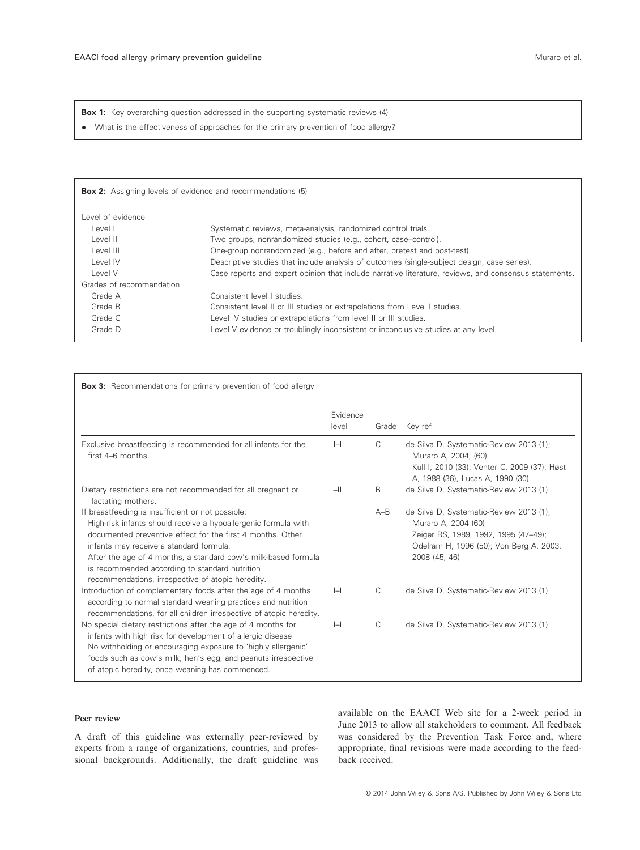- **Box 1:** Key overarching question addressed in the supporting systematic reviews (4)
- What is the effectiveness of approaches for the primary prevention of food allergy?

| <b>Box 2:</b> Assigning levels of evidence and recommendations (5) |                                                                                                       |  |  |  |
|--------------------------------------------------------------------|-------------------------------------------------------------------------------------------------------|--|--|--|
| Level of evidence                                                  |                                                                                                       |  |  |  |
| Level I                                                            | Systematic reviews, meta-analysis, randomized control trials.                                         |  |  |  |
| Level II                                                           | Two groups, nonrandomized studies (e.g., cohort, case-control).                                       |  |  |  |
| Level III                                                          | One-group nonrandomized (e.g., before and after, pretest and post-test).                              |  |  |  |
| Level IV                                                           | Descriptive studies that include analysis of outcomes (single-subject design, case series).           |  |  |  |
| Level V                                                            | Case reports and expert opinion that include narrative literature, reviews, and consensus statements. |  |  |  |
| Grades of recommendation                                           |                                                                                                       |  |  |  |
| Grade A                                                            | Consistent level L studies.                                                                           |  |  |  |
| Grade B                                                            | Consistent level II or III studies or extrapolations from Level I studies.                            |  |  |  |
| Grade C                                                            | Level IV studies or extrapolations from level II or III studies.                                      |  |  |  |
| Grade D                                                            | Level V evidence or troublingly inconsistent or inconclusive studies at any level.                    |  |  |  |

| <b>Box 3:</b> Recommendations for primary prevention of food allergy                                                                                                                                                                                                                                                                                                                                  |                   |               |                                                                                                                                                                    |  |
|-------------------------------------------------------------------------------------------------------------------------------------------------------------------------------------------------------------------------------------------------------------------------------------------------------------------------------------------------------------------------------------------------------|-------------------|---------------|--------------------------------------------------------------------------------------------------------------------------------------------------------------------|--|
|                                                                                                                                                                                                                                                                                                                                                                                                       | Evidence<br>level | Grade         | Key ref                                                                                                                                                            |  |
| Exclusive breastfeeding is recommended for all infants for the<br>first 4-6 months.                                                                                                                                                                                                                                                                                                                   | $  -   $          | $\mathcal{C}$ | de Silva D, Systematic-Review 2013 (1);<br>Muraro A, 2004, (60)<br>Kull I, 2010 (33); Venter C, 2009 (37); Høst<br>A, 1988 (36), Lucas A, 1990 (30)                |  |
| Dietary restrictions are not recommended for all pregnant or<br>lactating mothers.                                                                                                                                                                                                                                                                                                                    | $ - $             | B             | de Silva D, Systematic-Review 2013 (1)                                                                                                                             |  |
| If breastfeeding is insufficient or not possible:<br>High-risk infants should receive a hypoallergenic formula with<br>documented preventive effect for the first 4 months. Other<br>infants may receive a standard formula.<br>After the age of 4 months, a standard cow's milk-based formula<br>is recommended according to standard nutrition<br>recommendations, irrespective of atopic heredity. |                   | $A - B$       | de Silva D, Systematic-Review 2013 (1);<br>Muraro A, 2004 (60)<br>Zeiger RS, 1989, 1992, 1995 (47-49);<br>Odelram H, 1996 (50); Von Berg A, 2003,<br>2008 (45, 46) |  |
| Introduction of complementary foods after the age of 4 months<br>according to normal standard weaning practices and nutrition<br>recommendations, for all children irrespective of atopic heredity.                                                                                                                                                                                                   | $  -   $          | C             | de Silva D, Systematic-Review 2013 (1)                                                                                                                             |  |
| No special dietary restrictions after the age of 4 months for<br>infants with high risk for development of allergic disease<br>No withholding or encouraging exposure to 'highly allergenic'<br>foods such as cow's milk, hen's egg, and peanuts irrespective<br>of atopic heredity, once weaning has commenced.                                                                                      | $  -   $          | C             | de Silva D, Systematic-Review 2013 (1)                                                                                                                             |  |

# Peer review

A draft of this guideline was externally peer-reviewed by experts from a range of organizations, countries, and professional backgrounds. Additionally, the draft guideline was available on the EAACI Web site for a 2-week period in June 2013 to allow all stakeholders to comment. All feedback was considered by the Prevention Task Force and, where appropriate, final revisions were made according to the feedback received.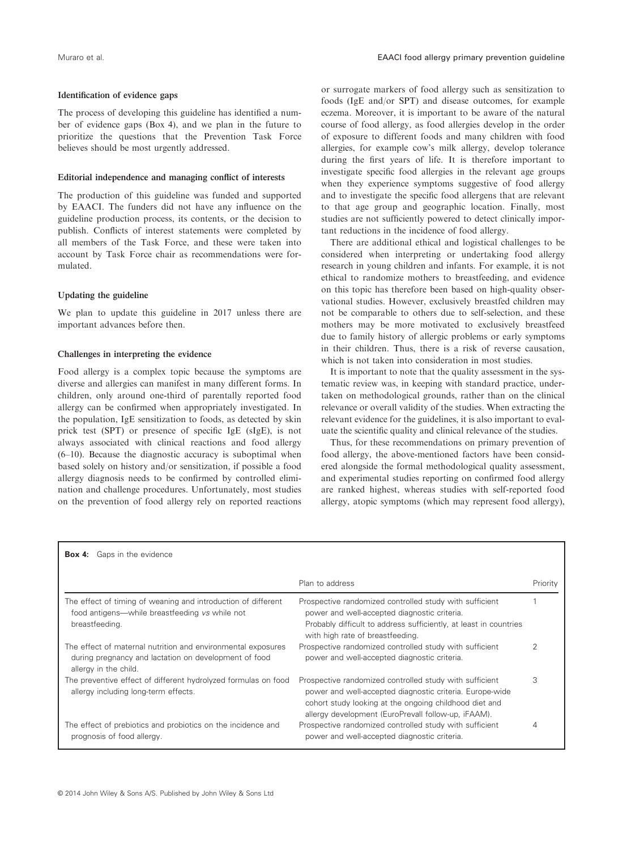# Identification of evidence gaps

The process of developing this guideline has identified a number of evidence gaps (Box 4), and we plan in the future to prioritize the questions that the Prevention Task Force believes should be most urgently addressed.

#### Editorial independence and managing conflict of interests

The production of this guideline was funded and supported by EAACI. The funders did not have any influence on the guideline production process, its contents, or the decision to publish. Conflicts of interest statements were completed by all members of the Task Force, and these were taken into account by Task Force chair as recommendations were formulated.

# Updating the guideline

We plan to update this guideline in 2017 unless there are important advances before then.

## Challenges in interpreting the evidence

Food allergy is a complex topic because the symptoms are diverse and allergies can manifest in many different forms. In children, only around one-third of parentally reported food allergy can be confirmed when appropriately investigated. In the population, IgE sensitization to foods, as detected by skin prick test (SPT) or presence of specific IgE (sIgE), is not always associated with clinical reactions and food allergy (6–10). Because the diagnostic accuracy is suboptimal when based solely on history and/or sensitization, if possible a food allergy diagnosis needs to be confirmed by controlled elimination and challenge procedures. Unfortunately, most studies on the prevention of food allergy rely on reported reactions

or surrogate markers of food allergy such as sensitization to foods (IgE and/or SPT) and disease outcomes, for example eczema. Moreover, it is important to be aware of the natural course of food allergy, as food allergies develop in the order of exposure to different foods and many children with food allergies, for example cow's milk allergy, develop tolerance during the first years of life. It is therefore important to investigate specific food allergies in the relevant age groups when they experience symptoms suggestive of food allergy and to investigate the specific food allergens that are relevant to that age group and geographic location. Finally, most studies are not sufficiently powered to detect clinically important reductions in the incidence of food allergy.

There are additional ethical and logistical challenges to be considered when interpreting or undertaking food allergy research in young children and infants. For example, it is not ethical to randomize mothers to breastfeeding, and evidence on this topic has therefore been based on high-quality observational studies. However, exclusively breastfed children may not be comparable to others due to self-selection, and these mothers may be more motivated to exclusively breastfeed due to family history of allergic problems or early symptoms in their children. Thus, there is a risk of reverse causation, which is not taken into consideration in most studies.

It is important to note that the quality assessment in the systematic review was, in keeping with standard practice, undertaken on methodological grounds, rather than on the clinical relevance or overall validity of the studies. When extracting the relevant evidence for the guidelines, it is also important to evaluate the scientific quality and clinical relevance of the studies.

Thus, for these recommendations on primary prevention of food allergy, the above-mentioned factors have been considered alongside the formal methodological quality assessment, and experimental studies reporting on confirmed food allergy are ranked highest, whereas studies with self-reported food allergy, atopic symptoms (which may represent food allergy),

| Gaps in the evidence<br>Box 4:                                                                                                                 |                                                                                                                                                                                                                                      |          |  |  |  |
|------------------------------------------------------------------------------------------------------------------------------------------------|--------------------------------------------------------------------------------------------------------------------------------------------------------------------------------------------------------------------------------------|----------|--|--|--|
|                                                                                                                                                | Plan to address                                                                                                                                                                                                                      | Priority |  |  |  |
| The effect of timing of weaning and introduction of different<br>food antigens—while breastfeeding vs while not<br>breastfeeding.              | Prospective randomized controlled study with sufficient<br>power and well-accepted diagnostic criteria.<br>Probably difficult to address sufficiently, at least in countries<br>with high rate of breastfeeding.                     |          |  |  |  |
| The effect of maternal nutrition and environmental exposures<br>during pregnancy and lactation on development of food<br>allergy in the child. | Prospective randomized controlled study with sufficient<br>power and well-accepted diagnostic criteria.                                                                                                                              | 2        |  |  |  |
| The preventive effect of different hydrolyzed formulas on food<br>allergy including long-term effects.                                         | Prospective randomized controlled study with sufficient<br>power and well-accepted diagnostic criteria. Europe-wide<br>cohort study looking at the ongoing childhood diet and<br>allergy development (EuroPrevall follow-up, iFAAM). |          |  |  |  |
| The effect of prebiotics and probiotics on the incidence and<br>prognosis of food allergy.                                                     | Prospective randomized controlled study with sufficient<br>power and well-accepted diagnostic criteria.                                                                                                                              | 4        |  |  |  |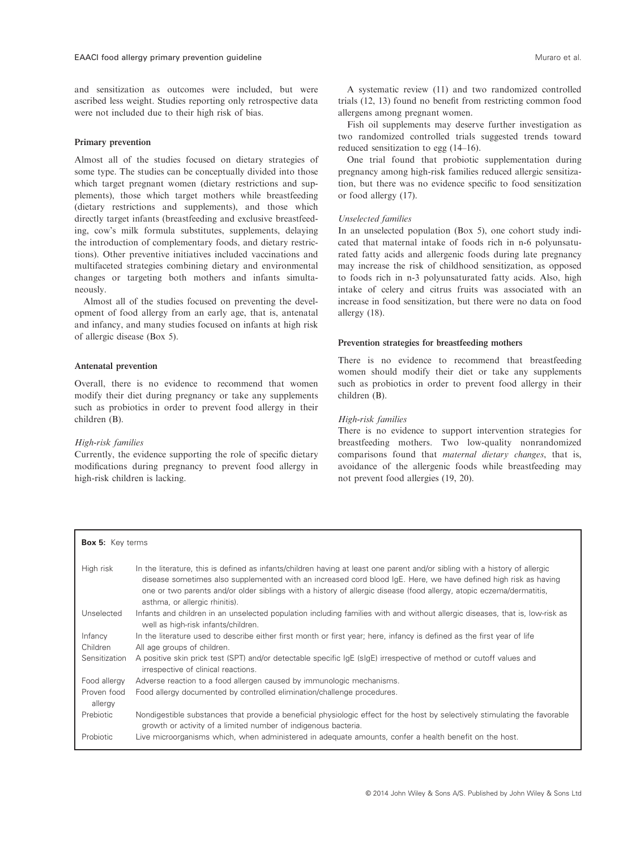and sensitization as outcomes were included, but were ascribed less weight. Studies reporting only retrospective data were not included due to their high risk of bias.

## Primary prevention

Almost all of the studies focused on dietary strategies of some type. The studies can be conceptually divided into those which target pregnant women (dietary restrictions and supplements), those which target mothers while breastfeeding (dietary restrictions and supplements), and those which directly target infants (breastfeeding and exclusive breastfeeding, cow's milk formula substitutes, supplements, delaying the introduction of complementary foods, and dietary restrictions). Other preventive initiatives included vaccinations and multifaceted strategies combining dietary and environmental changes or targeting both mothers and infants simultaneously.

Almost all of the studies focused on preventing the development of food allergy from an early age, that is, antenatal and infancy, and many studies focused on infants at high risk of allergic disease (Box 5).

# Antenatal prevention

Overall, there is no evidence to recommend that women modify their diet during pregnancy or take any supplements such as probiotics in order to prevent food allergy in their children (B).

## High-risk families

Currently, the evidence supporting the role of specific dietary modifications during pregnancy to prevent food allergy in high-risk children is lacking.

A systematic review (11) and two randomized controlled trials (12, 13) found no benefit from restricting common food allergens among pregnant women.

Fish oil supplements may deserve further investigation as two randomized controlled trials suggested trends toward reduced sensitization to egg (14–16).

One trial found that probiotic supplementation during pregnancy among high-risk families reduced allergic sensitization, but there was no evidence specific to food sensitization or food allergy (17).

# Unselected families

In an unselected population (Box 5), one cohort study indicated that maternal intake of foods rich in n-6 polyunsaturated fatty acids and allergenic foods during late pregnancy may increase the risk of childhood sensitization, as opposed to foods rich in n-3 polyunsaturated fatty acids. Also, high intake of celery and citrus fruits was associated with an increase in food sensitization, but there were no data on food allergy (18).

#### Prevention strategies for breastfeeding mothers

There is no evidence to recommend that breastfeeding women should modify their diet or take any supplements such as probiotics in order to prevent food allergy in their children (B).

#### High-risk families

There is no evidence to support intervention strategies for breastfeeding mothers. Two low-quality nonrandomized comparisons found that maternal dietary changes, that is, avoidance of the allergenic foods while breastfeeding may not prevent food allergies (19, 20).

| <b>Box 5:</b> Key terms |                                                                                                                                                                                                                                                                                                                                                                                                          |
|-------------------------|----------------------------------------------------------------------------------------------------------------------------------------------------------------------------------------------------------------------------------------------------------------------------------------------------------------------------------------------------------------------------------------------------------|
| High risk               | In the literature, this is defined as infants/children having at least one parent and/or sibling with a history of allergic<br>disease sometimes also supplemented with an increased cord blood IgE. Here, we have defined high risk as having<br>one or two parents and/or older siblings with a history of allergic disease (food allergy, atopic eczema/dermatitis,<br>asthma, or allergic rhinitis). |
| Unselected              | Infants and children in an unselected population including families with and without allergic diseases, that is, low-risk as<br>well as high-risk infants/children.                                                                                                                                                                                                                                      |
| Infancy                 | In the literature used to describe either first month or first year; here, infancy is defined as the first year of life                                                                                                                                                                                                                                                                                  |
| Children                | All age groups of children.                                                                                                                                                                                                                                                                                                                                                                              |
| Sensitization           | A positive skin prick test (SPT) and/or detectable specific $I$ gE (slgE) irrespective of method or cutoff values and<br>irrespective of clinical reactions.                                                                                                                                                                                                                                             |
| Food allergy            | Adverse reaction to a food allergen caused by immunologic mechanisms.                                                                                                                                                                                                                                                                                                                                    |
| Proven food<br>allergy  | Food allergy documented by controlled elimination/challenge procedures.                                                                                                                                                                                                                                                                                                                                  |
| Prebiotic               | Nondigestible substances that provide a beneficial physiologic effect for the host by selectively stimulating the favorable<br>growth or activity of a limited number of indigenous bacteria.                                                                                                                                                                                                            |
| Probiotic               | Live microorganisms which, when administered in adequate amounts, confer a health benefit on the host.                                                                                                                                                                                                                                                                                                   |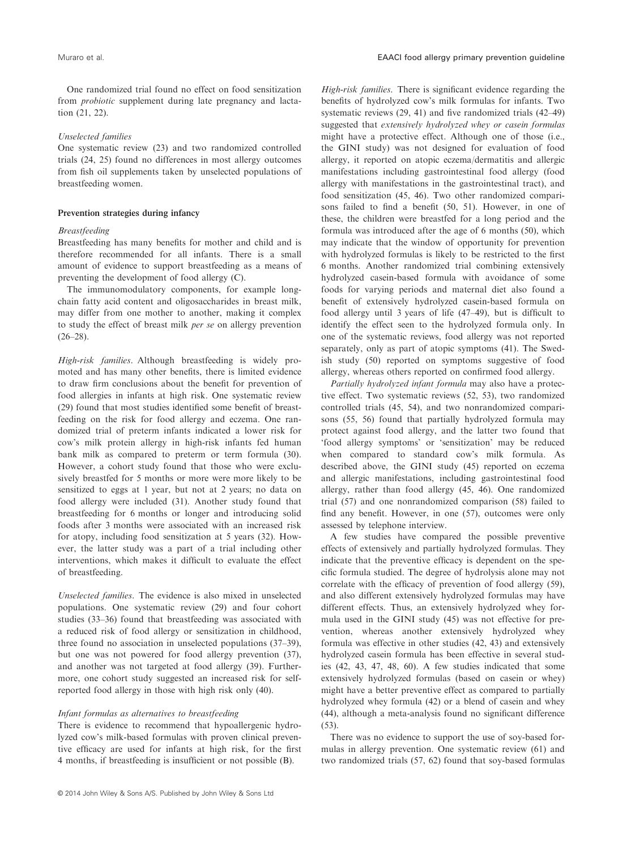One randomized trial found no effect on food sensitization from probiotic supplement during late pregnancy and lactation (21, 22).

# Unselected families

One systematic review (23) and two randomized controlled trials (24, 25) found no differences in most allergy outcomes from fish oil supplements taken by unselected populations of breastfeeding women.

## Prevention strategies during infancy

#### Breastfeeding

Breastfeeding has many benefits for mother and child and is therefore recommended for all infants. There is a small amount of evidence to support breastfeeding as a means of preventing the development of food allergy (C).

The immunomodulatory components, for example longchain fatty acid content and oligosaccharides in breast milk, may differ from one mother to another, making it complex to study the effect of breast milk per se on allergy prevention  $(26-28)$ .

High-risk families. Although breastfeeding is widely promoted and has many other benefits, there is limited evidence to draw firm conclusions about the benefit for prevention of food allergies in infants at high risk. One systematic review (29) found that most studies identified some benefit of breastfeeding on the risk for food allergy and eczema. One randomized trial of preterm infants indicated a lower risk for cow's milk protein allergy in high-risk infants fed human bank milk as compared to preterm or term formula (30). However, a cohort study found that those who were exclusively breastfed for 5 months or more were more likely to be sensitized to eggs at 1 year, but not at 2 years; no data on food allergy were included (31). Another study found that breastfeeding for 6 months or longer and introducing solid foods after 3 months were associated with an increased risk for atopy, including food sensitization at 5 years (32). However, the latter study was a part of a trial including other interventions, which makes it difficult to evaluate the effect of breastfeeding.

Unselected families. The evidence is also mixed in unselected populations. One systematic review (29) and four cohort studies (33–36) found that breastfeeding was associated with a reduced risk of food allergy or sensitization in childhood, three found no association in unselected populations (37–39), but one was not powered for food allergy prevention (37), and another was not targeted at food allergy (39). Furthermore, one cohort study suggested an increased risk for selfreported food allergy in those with high risk only (40).

#### Infant formulas as alternatives to breastfeeding

There is evidence to recommend that hypoallergenic hydrolyzed cow's milk-based formulas with proven clinical preventive efficacy are used for infants at high risk, for the first 4 months, if breastfeeding is insufficient or not possible (B).

High-risk families. There is significant evidence regarding the benefits of hydrolyzed cow's milk formulas for infants. Two systematic reviews (29, 41) and five randomized trials (42–49) suggested that extensively hydrolyzed whey or casein formulas might have a protective effect. Although one of those (i.e., the GINI study) was not designed for evaluation of food allergy, it reported on atopic eczema/dermatitis and allergic manifestations including gastrointestinal food allergy (food allergy with manifestations in the gastrointestinal tract), and food sensitization (45, 46). Two other randomized comparisons failed to find a benefit (50, 51). However, in one of these, the children were breastfed for a long period and the formula was introduced after the age of 6 months (50), which may indicate that the window of opportunity for prevention with hydrolyzed formulas is likely to be restricted to the first 6 months. Another randomized trial combining extensively hydrolyzed casein-based formula with avoidance of some foods for varying periods and maternal diet also found a benefit of extensively hydrolyzed casein-based formula on food allergy until 3 years of life (47–49), but is difficult to identify the effect seen to the hydrolyzed formula only. In one of the systematic reviews, food allergy was not reported separately, only as part of atopic symptoms (41). The Swedish study (50) reported on symptoms suggestive of food allergy, whereas others reported on confirmed food allergy.

Partially hydrolyzed infant formula may also have a protective effect. Two systematic reviews (52, 53), two randomized controlled trials (45, 54), and two nonrandomized comparisons (55, 56) found that partially hydrolyzed formula may protect against food allergy, and the latter two found that 'food allergy symptoms' or 'sensitization' may be reduced when compared to standard cow's milk formula. As described above, the GINI study (45) reported on eczema and allergic manifestations, including gastrointestinal food allergy, rather than food allergy (45, 46). One randomized trial (57) and one nonrandomized comparison (58) failed to find any benefit. However, in one (57), outcomes were only assessed by telephone interview.

A few studies have compared the possible preventive effects of extensively and partially hydrolyzed formulas. They indicate that the preventive efficacy is dependent on the specific formula studied. The degree of hydrolysis alone may not correlate with the efficacy of prevention of food allergy (59), and also different extensively hydrolyzed formulas may have different effects. Thus, an extensively hydrolyzed whey formula used in the GINI study (45) was not effective for prevention, whereas another extensively hydrolyzed whey formula was effective in other studies (42, 43) and extensively hydrolyzed casein formula has been effective in several studies (42, 43, 47, 48, 60). A few studies indicated that some extensively hydrolyzed formulas (based on casein or whey) might have a better preventive effect as compared to partially hydrolyzed whey formula (42) or a blend of casein and whey (44), although a meta-analysis found no significant difference (53).

There was no evidence to support the use of soy-based formulas in allergy prevention. One systematic review (61) and two randomized trials (57, 62) found that soy-based formulas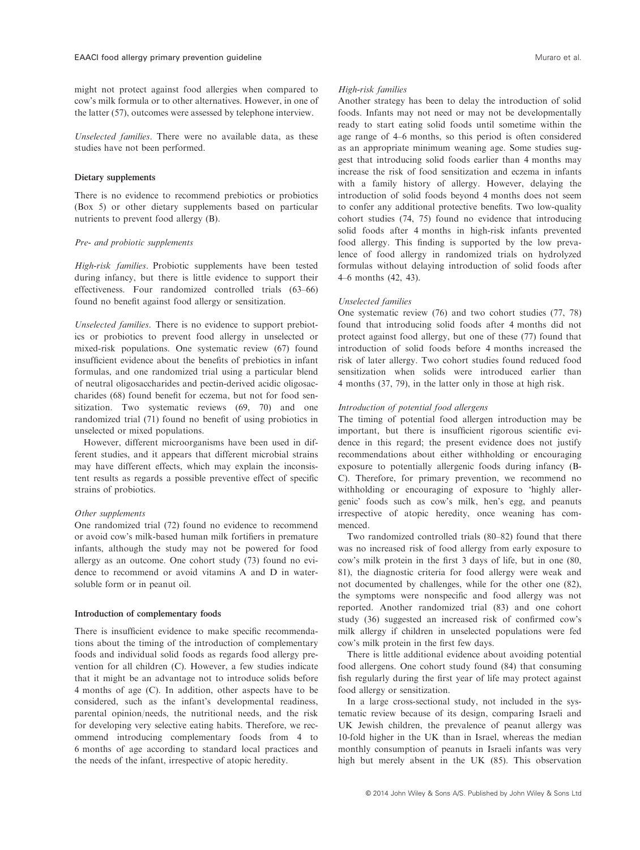might not protect against food allergies when compared to cow's milk formula or to other alternatives. However, in one of the latter (57), outcomes were assessed by telephone interview.

Unselected families. There were no available data, as these studies have not been performed.

# Dietary supplements

There is no evidence to recommend prebiotics or probiotics (Box 5) or other dietary supplements based on particular nutrients to prevent food allergy (B).

# Pre- and probiotic supplements

High-risk families. Probiotic supplements have been tested during infancy, but there is little evidence to support their effectiveness. Four randomized controlled trials (63–66) found no benefit against food allergy or sensitization.

Unselected families. There is no evidence to support prebiotics or probiotics to prevent food allergy in unselected or mixed-risk populations. One systematic review (67) found insufficient evidence about the benefits of prebiotics in infant formulas, and one randomized trial using a particular blend of neutral oligosaccharides and pectin-derived acidic oligosaccharides (68) found benefit for eczema, but not for food sensitization. Two systematic reviews (69, 70) and one randomized trial (71) found no benefit of using probiotics in unselected or mixed populations.

However, different microorganisms have been used in different studies, and it appears that different microbial strains may have different effects, which may explain the inconsistent results as regards a possible preventive effect of specific strains of probiotics.

## Other supplements

One randomized trial (72) found no evidence to recommend or avoid cow's milk-based human milk fortifiers in premature infants, although the study may not be powered for food allergy as an outcome. One cohort study (73) found no evidence to recommend or avoid vitamins A and D in watersoluble form or in peanut oil.

#### Introduction of complementary foods

There is insufficient evidence to make specific recommendations about the timing of the introduction of complementary foods and individual solid foods as regards food allergy prevention for all children (C). However, a few studies indicate that it might be an advantage not to introduce solids before 4 months of age (C). In addition, other aspects have to be considered, such as the infant's developmental readiness, parental opinion/needs, the nutritional needs, and the risk for developing very selective eating habits. Therefore, we recommend introducing complementary foods from 4 to 6 months of age according to standard local practices and the needs of the infant, irrespective of atopic heredity.

#### High-risk families

Another strategy has been to delay the introduction of solid foods. Infants may not need or may not be developmentally ready to start eating solid foods until sometime within the age range of 4–6 months, so this period is often considered as an appropriate minimum weaning age. Some studies suggest that introducing solid foods earlier than 4 months may increase the risk of food sensitization and eczema in infants with a family history of allergy. However, delaying the introduction of solid foods beyond 4 months does not seem to confer any additional protective benefits. Two low-quality cohort studies (74, 75) found no evidence that introducing solid foods after 4 months in high-risk infants prevented food allergy. This finding is supported by the low prevalence of food allergy in randomized trials on hydrolyzed formulas without delaying introduction of solid foods after 4–6 months (42, 43).

#### Unselected families

One systematic review (76) and two cohort studies (77, 78) found that introducing solid foods after 4 months did not protect against food allergy, but one of these (77) found that introduction of solid foods before 4 months increased the risk of later allergy. Two cohort studies found reduced food sensitization when solids were introduced earlier than 4 months (37, 79), in the latter only in those at high risk.

#### Introduction of potential food allergens

The timing of potential food allergen introduction may be important, but there is insufficient rigorous scientific evidence in this regard; the present evidence does not justify recommendations about either withholding or encouraging exposure to potentially allergenic foods during infancy (B-C). Therefore, for primary prevention, we recommend no withholding or encouraging of exposure to 'highly allergenic' foods such as cow's milk, hen's egg, and peanuts irrespective of atopic heredity, once weaning has commenced.

Two randomized controlled trials (80–82) found that there was no increased risk of food allergy from early exposure to cow's milk protein in the first 3 days of life, but in one (80, 81), the diagnostic criteria for food allergy were weak and not documented by challenges, while for the other one (82), the symptoms were nonspecific and food allergy was not reported. Another randomized trial (83) and one cohort study (36) suggested an increased risk of confirmed cow's milk allergy if children in unselected populations were fed cow's milk protein in the first few days.

There is little additional evidence about avoiding potential food allergens. One cohort study found (84) that consuming fish regularly during the first year of life may protect against food allergy or sensitization.

In a large cross-sectional study, not included in the systematic review because of its design, comparing Israeli and UK Jewish children, the prevalence of peanut allergy was 10-fold higher in the UK than in Israel, whereas the median monthly consumption of peanuts in Israeli infants was very high but merely absent in the UK (85). This observation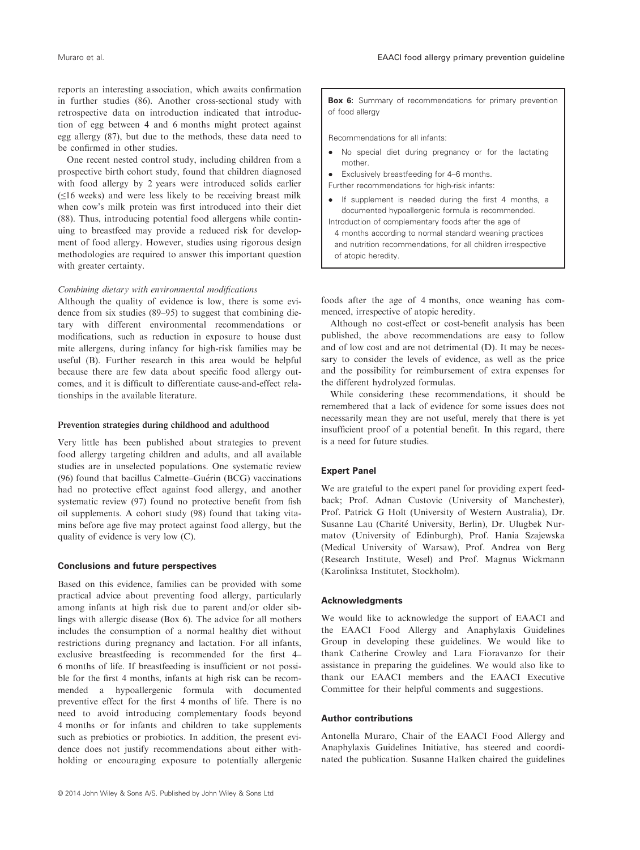reports an interesting association, which awaits confirmation in further studies (86). Another cross-sectional study with retrospective data on introduction indicated that introduction of egg between 4 and 6 months might protect against egg allergy (87), but due to the methods, these data need to be confirmed in other studies.

One recent nested control study, including children from a prospective birth cohort study, found that children diagnosed with food allergy by 2 years were introduced solids earlier (≤16 weeks) and were less likely to be receiving breast milk when cow's milk protein was first introduced into their diet (88). Thus, introducing potential food allergens while continuing to breastfeed may provide a reduced risk for development of food allergy. However, studies using rigorous design methodologies are required to answer this important question with greater certainty.

# Combining dietary with environmental modifications

Although the quality of evidence is low, there is some evidence from six studies (89–95) to suggest that combining dietary with different environmental recommendations or modifications, such as reduction in exposure to house dust mite allergens, during infancy for high-risk families may be useful (B). Further research in this area would be helpful because there are few data about specific food allergy outcomes, and it is difficult to differentiate cause-and-effect relationships in the available literature.

#### Prevention strategies during childhood and adulthood

Very little has been published about strategies to prevent food allergy targeting children and adults, and all available studies are in unselected populations. One systematic review (96) found that bacillus Calmette–Guérin (BCG) vaccinations had no protective effect against food allergy, and another systematic review (97) found no protective benefit from fish oil supplements. A cohort study (98) found that taking vitamins before age five may protect against food allergy, but the quality of evidence is very low (C).

#### Conclusions and future perspectives

Based on this evidence, families can be provided with some practical advice about preventing food allergy, particularly among infants at high risk due to parent and/or older siblings with allergic disease (Box 6). The advice for all mothers includes the consumption of a normal healthy diet without restrictions during pregnancy and lactation. For all infants, exclusive breastfeeding is recommended for the first 4– 6 months of life. If breastfeeding is insufficient or not possible for the first 4 months, infants at high risk can be recommended a hypoallergenic formula with documented preventive effect for the first 4 months of life. There is no need to avoid introducing complementary foods beyond 4 months or for infants and children to take supplements such as prebiotics or probiotics. In addition, the present evidence does not justify recommendations about either withholding or encouraging exposure to potentially allergenic **Box 6:** Summary of recommendations for primary prevention of food allergy

Recommendations for all infants:

- No special diet during pregnancy or for the lactating mother.
- Exclusively breastfeeding for 4–6 months.

Further recommendations for high-risk infants:

- If supplement is needed during the first 4 months, a documented hypoallergenic formula is recommended.
- Introduction of complementary foods after the age of 4 months according to normal standard weaning practices and nutrition recommendations, for all children irrespective of atopic heredity.

foods after the age of 4 months, once weaning has commenced, irrespective of atopic heredity.

Although no cost-effect or cost-benefit analysis has been published, the above recommendations are easy to follow and of low cost and are not detrimental (D). It may be necessary to consider the levels of evidence, as well as the price and the possibility for reimbursement of extra expenses for the different hydrolyzed formulas.

While considering these recommendations, it should be remembered that a lack of evidence for some issues does not necessarily mean they are not useful, merely that there is yet insufficient proof of a potential benefit. In this regard, there is a need for future studies.

# Expert Panel

We are grateful to the expert panel for providing expert feedback; Prof. Adnan Custovic (University of Manchester), Prof. Patrick G Holt (University of Western Australia), Dr. Susanne Lau (Charite University, Berlin), Dr. Ulugbek Nurmatov (University of Edinburgh), Prof. Hania Szajewska (Medical University of Warsaw), Prof. Andrea von Berg (Research Institute, Wesel) and Prof. Magnus Wickmann (Karolinksa Institutet, Stockholm).

# Acknowledgments

We would like to acknowledge the support of EAACI and the EAACI Food Allergy and Anaphylaxis Guidelines Group in developing these guidelines. We would like to thank Catherine Crowley and Lara Fioravanzo for their assistance in preparing the guidelines. We would also like to thank our EAACI members and the EAACI Executive Committee for their helpful comments and suggestions.

# Author contributions

Antonella Muraro, Chair of the EAACI Food Allergy and Anaphylaxis Guidelines Initiative, has steered and coordinated the publication. Susanne Halken chaired the guidelines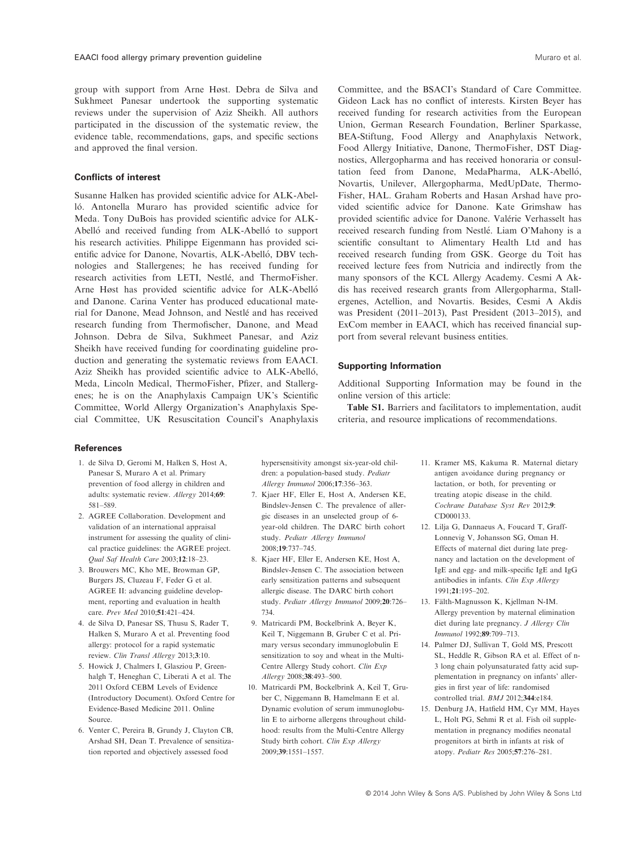group with support from Arne Høst. Debra de Silva and Sukhmeet Panesar undertook the supporting systematic reviews under the supervision of Aziz Sheikh. All authors participated in the discussion of the systematic review, the evidence table, recommendations, gaps, and specific sections and approved the final version.

# Conflicts of interest

Susanne Halken has provided scientific advice for ALK-Abelló. Antonella Muraro has provided scientific advice for Meda. Tony DuBois has provided scientific advice for ALK-Abelló and received funding from ALK-Abelló to support his research activities. Philippe Eigenmann has provided scientific advice for Danone, Novartis, ALK-Abelló, DBV technologies and Stallergenes; he has received funding for research activities from LETI, Nestle, and ThermoFisher. Arne Høst has provided scientific advice for ALK-Abelló and Danone. Carina Venter has produced educational material for Danone, Mead Johnson, and Nestle and has received research funding from Thermofischer, Danone, and Mead Johnson. Debra de Silva, Sukhmeet Panesar, and Aziz Sheikh have received funding for coordinating guideline production and generating the systematic reviews from EAACI. Aziz Sheikh has provided scientific advice to ALK-Abello, Meda, Lincoln Medical, ThermoFisher, Pfizer, and Stallergenes; he is on the Anaphylaxis Campaign UK's Scientific Committee, World Allergy Organization's Anaphylaxis Special Committee, UK Resuscitation Council's Anaphylaxis

Committee, and the BSACI's Standard of Care Committee. Gideon Lack has no conflict of interests. Kirsten Beyer has received funding for research activities from the European Union, German Research Foundation, Berliner Sparkasse, BEA-Stiftung, Food Allergy and Anaphylaxis Network, Food Allergy Initiative, Danone, ThermoFisher, DST Diagnostics, Allergopharma and has received honoraria or consultation feed from Danone, MedaPharma, ALK-Abello, Novartis, Unilever, Allergopharma, MedUpDate, Thermo-Fisher, HAL. Graham Roberts and Hasan Arshad have provided scientific advice for Danone. Kate Grimshaw has provided scientific advice for Danone. Valerie Verhasselt has received research funding from Nestle. Liam O'Mahony is a scientific consultant to Alimentary Health Ltd and has received research funding from GSK. George du Toit has received lecture fees from Nutricia and indirectly from the many sponsors of the KCL Allergy Academy. Cesmi A Akdis has received research grants from Allergopharma, Stallergenes, Actellion, and Novartis. Besides, Cesmi A Akdis was President (2011–2013), Past President (2013–2015), and ExCom member in EAACI, which has received financial support from several relevant business entities.

### Supporting Information

Additional Supporting Information may be found in the online version of this article:

Table S1. Barriers and facilitators to implementation, audit criteria, and resource implications of recommendations.

#### References

- 1. de Silva D, Geromi M, Halken S, Host A, Panesar S, Muraro A et al. Primary prevention of food allergy in children and adults: systematic review. Allergy 2014;69: 581–589.
- 2. AGREE Collaboration. Development and validation of an international appraisal instrument for assessing the quality of clinical practice guidelines: the AGREE project. Qual Saf Health Care 2003;12:18–23.
- 3. Brouwers MC, Kho ME, Browman GP, Burgers JS, Cluzeau F, Feder G et al. AGREE II: advancing guideline development, reporting and evaluation in health care. Prev Med 2010;51:421–424.
- 4. de Silva D, Panesar SS, Thusu S, Rader T, Halken S, Muraro A et al. Preventing food allergy: protocol for a rapid systematic review. Clin Transl Allergy 2013;3:10.
- 5. Howick J, Chalmers I, Glasziou P, Greenhalgh T, Heneghan C, Liberati A et al. The 2011 Oxford CEBM Levels of Evidence (Introductory Document). Oxford Centre for Evidence-Based Medicine 2011. Online Source.
- 6. Venter C, Pereira B, Grundy J, Clayton CB, Arshad SH, Dean T. Prevalence of sensitization reported and objectively assessed food

hypersensitivity amongst six-year-old children: a population-based study. Pediatr Allergy Immunol 2006;17:356–363.

- 7. Kjaer HF, Eller E, Host A, Andersen KE, Bindslev-Jensen C. The prevalence of allergic diseases in an unselected group of 6 year-old children. The DARC birth cohort study. Pediatr Allergy Immunol 2008;19:737–745.
- 8. Kjaer HF, Eller E, Andersen KE, Host A, Bindslev-Jensen C. The association between early sensitization patterns and subsequent allergic disease. The DARC birth cohort study. Pediatr Allergy Immunol 2009;20:726– 734.
- 9. Matricardi PM, Bockelbrink A, Beyer K, Keil T, Niggemann B, Gruber C et al. Primary versus secondary immunoglobulin E sensitization to soy and wheat in the Multi-Centre Allergy Study cohort. Clin Exp Allergy 2008;38:493–500.
- 10. Matricardi PM, Bockelbrink A, Keil T, Gruber C, Niggemann B, Hamelmann E et al. Dynamic evolution of serum immunoglobulin E to airborne allergens throughout childhood: results from the Multi-Centre Allergy Study birth cohort. Clin Exp Allergy 2009;39:1551–1557.
- 11. Kramer MS, Kakuma R. Maternal dietary antigen avoidance during pregnancy or lactation, or both, for preventing or treating atopic disease in the child. Cochrane Database Syst Rev 2012;9: CD000133.
- 12. Lilja G, Dannaeus A, Foucard T, Graff-Lonnevig V, Johansson SG, Oman H. Effects of maternal diet during late pregnancy and lactation on the development of IgE and egg- and milk-specific IgE and IgG antibodies in infants. Clin Exp Allergy 1991;21:195–202.
- 13. Fälth-Magnusson K, Kjellman N-IM. Allergy prevention by maternal elimination diet during late pregnancy. J Allergy Clin Immunol 1992;89:709–713.
- 14. Palmer DJ, Sullivan T, Gold MS, Prescott SL, Heddle R, Gibson RA et al. Effect of n-3 long chain polyunsaturated fatty acid supplementation in pregnancy on infants' allergies in first year of life: randomised controlled trial. BMJ 2012;344:e184.
- 15. Denburg JA, Hatfield HM, Cyr MM, Hayes L, Holt PG, Sehmi R et al. Fish oil supplementation in pregnancy modifies neonatal progenitors at birth in infants at risk of atopy. Pediatr Res 2005;57:276–281.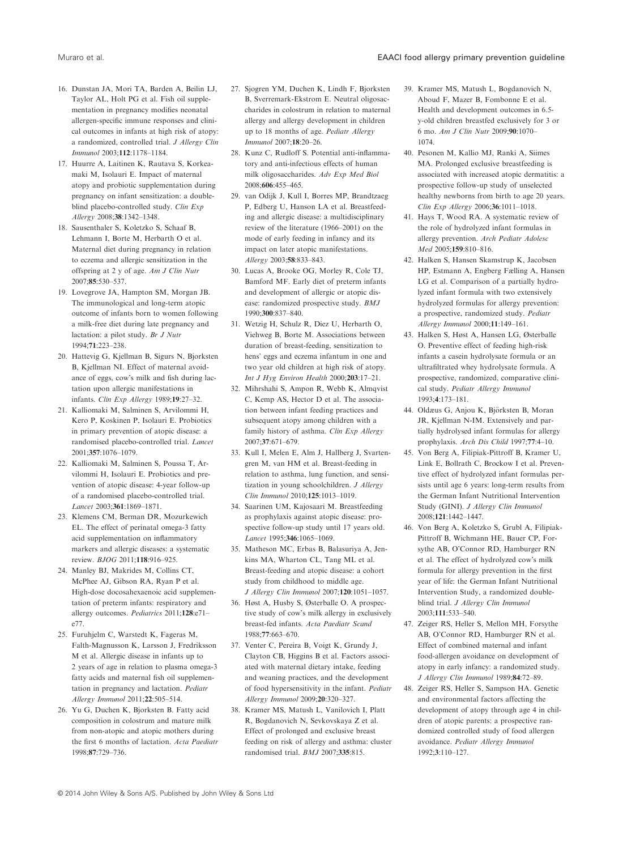- Muraro et al. EAACI food allergy primary prevention guideline
- 16. Dunstan JA, Mori TA, Barden A, Beilin LJ, Taylor AL, Holt PG et al. Fish oil supplementation in pregnancy modifies neonatal allergen-specific immune responses and clinical outcomes in infants at high risk of atopy: a randomized, controlled trial. J Allergy Clin Immunol 2003;112:1178–1184.
- 17. Huurre A, Laitinen K, Rautava S, Korkeamaki M, Isolauri E. Impact of maternal atopy and probiotic supplementation during pregnancy on infant sensitization: a doubleblind placebo-controlled study. Clin Exp Allergy 2008;38:1342–1348.
- 18. Sausenthaler S, Koletzko S, Schaaf B, Lehmann I, Borte M, Herbarth O et al. Maternal diet during pregnancy in relation to eczema and allergic sensitization in the offspring at 2 y of age. Am J Clin Nutr 2007;85:530–537.
- 19. Lovegrove JA, Hampton SM, Morgan JB. The immunological and long-term atopic outcome of infants born to women following a milk-free diet during late pregnancy and lactation: a pilot study. Br J Nutr 1994;71:223–238.
- 20. Hattevig G, Kjellman B, Sigurs N, Bjorksten B, Kjellman NI. Effect of maternal avoidance of eggs, cow's milk and fish during lactation upon allergic manifestations in infants. Clin Exp Allergy 1989;19:27–32.
- 21. Kalliomaki M, Salminen S, Arvilommi H, Kero P, Koskinen P, Isolauri E. Probiotics in primary prevention of atopic disease: a randomised placebo-controlled trial. Lancet 2001;357:1076–1079.
- 22. Kalliomaki M, Salminen S, Poussa T, Arvilommi H, Isolauri E. Probiotics and prevention of atopic disease: 4-year follow-up of a randomised placebo-controlled trial. Lancet 2003;361:1869–1871.
- 23. Klemens CM, Berman DR, Mozurkewich EL. The effect of perinatal omega-3 fatty acid supplementation on inflammatory markers and allergic diseases: a systematic review. BJOG 2011;118:916–925.
- 24. Manley BJ, Makrides M, Collins CT, McPhee AJ, Gibson RA, Ryan P et al. High-dose docosahexaenoic acid supplementation of preterm infants: respiratory and allergy outcomes. Pediatrics 2011;128:e71– e77.
- 25. Furuhjelm C, Warstedt K, Fageras M, Falth-Magnusson K, Larsson J, Fredriksson M et al. Allergic disease in infants up to 2 years of age in relation to plasma omega-3 fatty acids and maternal fish oil supplementation in pregnancy and lactation. Pediatr Allergy Immunol 2011;22:505–514.
- 26. Yu G, Duchen K, Bjorksten B. Fatty acid composition in colostrum and mature milk from non-atopic and atopic mothers during the first 6 months of lactation. Acta Paediatr 1998;87:729–736.
- 27. Sjogren YM, Duchen K, Lindh F, Bjorksten B, Sverremark-Ekstrom E. Neutral oligosaccharides in colostrum in relation to maternal allergy and allergy development in children up to 18 months of age. Pediatr Allergy Immunol 2007;18:20–26.
- 28. Kunz C, Rudloff S. Potential anti-inflammatory and anti-infectious effects of human milk oligosaccharides. Adv Exp Med Biol 2008;606:455–465.
- 29. van Odijk J, Kull I, Borres MP, Brandtzaeg P, Edberg U, Hanson LA et al. Breastfeeding and allergic disease: a multidisciplinary review of the literature (1966–2001) on the mode of early feeding in infancy and its impact on later atopic manifestations. Allergy 2003;58:833–843.
- 30. Lucas A, Brooke OG, Morley R, Cole TJ, Bamford MF. Early diet of preterm infants and development of allergic or atopic disease: randomized prospective study. BMJ 1990;300:837–840.
- 31. Wetzig H, Schulz R, Diez U, Herbarth O, Viehweg B, Borte M. Associations between duration of breast-feeding, sensitization to hens' eggs and eczema infantum in one and two year old children at high risk of atopy. Int J Hyg Environ Health 2000;203:17–21.
- 32. Mihrshahi S, Ampon R, Webb K, Almqvist C, Kemp AS, Hector D et al. The association between infant feeding practices and subsequent atopy among children with a family history of asthma. Clin Exp Allergy 2007;37:671–679.
- 33. Kull I, Melen E, Alm J, Hallberg J, Svartengren M, van HM et al. Breast-feeding in relation to asthma, lung function, and sensitization in young schoolchildren. J Allergy Clin Immunol 2010;125:1013–1019.
- 34. Saarinen UM, Kajosaari M. Breastfeeding as prophylaxis against atopic disease: prospective follow-up study until 17 years old. Lancet 1995;346:1065–1069.
- 35. Matheson MC, Erbas B, Balasuriya A, Jenkins MA, Wharton CL, Tang ML et al. Breast-feeding and atopic disease: a cohort study from childhood to middle age. J Allergy Clin Immunol 2007;120:1051–1057.
- 36. Høst A, Husby S, Østerballe O. A prospective study of cow's milk allergy in exclusively breast-fed infants. Acta Paediatr Scand 1988;77:663–670.
- 37. Venter C, Pereira B, Voigt K, Grundy J, Clayton CB, Higgins B et al. Factors associated with maternal dietary intake, feeding and weaning practices, and the development of food hypersensitivity in the infant. Pediatr Allergy Immunol 2009;20:320–327.
- 38. Kramer MS, Matush L, Vanilovich I, Platt R, Bogdanovich N, Sevkovskaya Z et al. Effect of prolonged and exclusive breast feeding on risk of allergy and asthma: cluster randomised trial. BMJ 2007;335:815.
- 39. Kramer MS, Matush L, Bogdanovich N, Aboud F, Mazer B, Fombonne E et al. Health and development outcomes in 6.5 y-old children breastfed exclusively for 3 or 6 mo. Am J Clin Nutr 2009;90:1070– 1074.
- 40. Pesonen M, Kallio MJ, Ranki A, Siimes MA. Prolonged exclusive breastfeeding is associated with increased atopic dermatitis: a prospective follow-up study of unselected healthy newborns from birth to age 20 years. Clin Exp Allergy 2006;36:1011–1018.
- 41. Hays T, Wood RA. A systematic review of the role of hydrolyzed infant formulas in allergy prevention. Arch Pediatr Adolesc Med 2005;159:810–816.
- 42. Halken S, Hansen Skamstrup K, Jacobsen HP, Estmann A, Engberg Fælling A, Hansen LG et al. Comparison of a partially hydrolyzed infant formula with two extensively hydrolyzed formulas for allergy prevention: a prospective, randomized study. Pediatr Allergy Immunol 2000;11:149–161.
- 43. Halken S, Høst A, Hansen LG, Østerballe O. Preventive effect of feeding high-risk infants a casein hydrolysate formula or an ultrafiltrated whey hydrolysate formula. A prospective, randomized, comparative clinical study. Pediatr Allergy Immunol 1993;4:173–181.
- 44. Oldæus G, Anjou K, Björksten B, Moran JR, Kjellman N-IM. Extensively and partially hydrolysed infant formulas for allergy prophylaxis. Arch Dis Child 1997;77:4–10.
- 45. Von Berg A, Filipiak-Pittroff B, Kramer U, Link E, Bollrath C, Brockow I et al. Preventive effect of hydrolyzed infant formulas persists until age 6 years: long-term results from the German Infant Nutritional Intervention Study (GINI). J Allergy Clin Immunol 2008;121:1442–1447.
- 46. Von Berg A, Koletzko S, Grubl A, Filipiak-Pittroff B, Wichmann HE, Bauer CP, Forsythe AB, O'Connor RD, Hamburger RN et al. The effect of hydrolyzed cow's milk formula for allergy prevention in the first year of life: the German Infant Nutritional Intervention Study, a randomized doubleblind trial. J Allergy Clin Immunol 2003;111:533–540.
- 47. Zeiger RS, Heller S, Mellon MH, Forsythe AB, O'Connor RD, Hamburger RN et al. Effect of combined maternal and infant food-allergen avoidance on development of atopy in early infancy: a randomized study. J Allergy Clin Immunol 1989;84:72–89.
- 48. Zeiger RS, Heller S, Sampson HA. Genetic and environmental factors affecting the development of atopy through age 4 in children of atopic parents: a prospective randomized controlled study of food allergen avoidance. Pediatr Allergy Immunol 1992;3:110–127.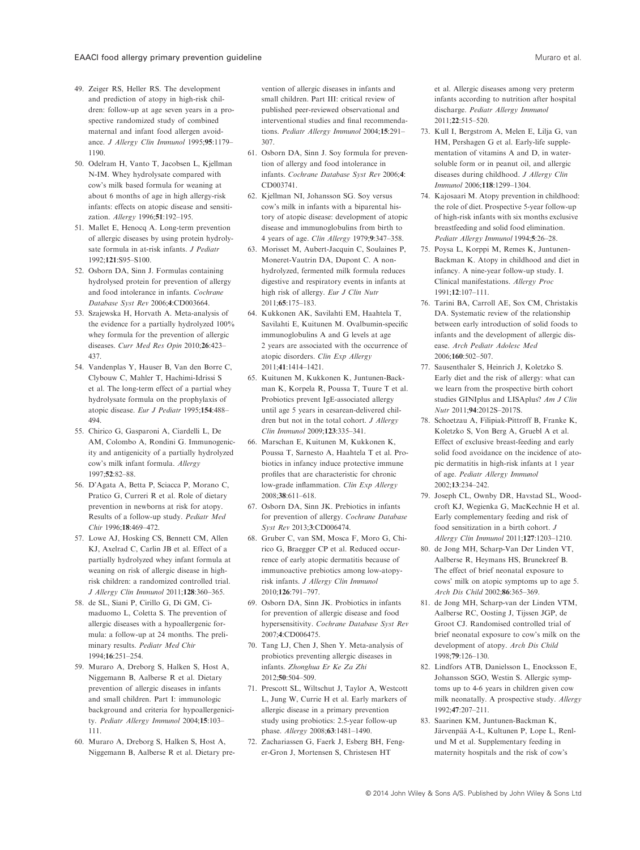- 49. Zeiger RS, Heller RS. The development and prediction of atopy in high-risk children: follow-up at age seven years in a prospective randomized study of combined maternal and infant food allergen avoidance. J Allergy Clin Immunol 1995;95:1179-1190.
- 50. Odelram H, Vanto T, Jacobsen L, Kjellman N-IM. Whey hydrolysate compared with cow's milk based formula for weaning at about 6 months of age in high allergy-risk infants: effects on atopic disease and sensitization. Allergy 1996;51:192–195.
- 51. Mallet E, Henocq A. Long-term prevention of allergic diseases by using protein hydrolysate formula in at-risk infants. J Pediatr 1992;121:S95–S100.
- 52. Osborn DA, Sinn J. Formulas containing hydrolysed protein for prevention of allergy and food intolerance in infants. Cochrane Database Syst Rev 2006;4:CD003664.
- 53. Szajewska H, Horvath A. Meta-analysis of the evidence for a partially hydrolyzed 100% whey formula for the prevention of allergic diseases. Curr Med Res Opin 2010;26:423– 437.
- 54. Vandenplas Y, Hauser B, Van den Borre C, Clybouw C, Mahler T, Hachimi-Idrissi S et al. The long-term effect of a partial whey hydrolysate formula on the prophylaxis of atopic disease. Eur J Pediatr 1995;154:488– 494.
- 55. Chirico G, Gasparoni A, Ciardelli L, De AM, Colombo A, Rondini G. Immunogenicity and antigenicity of a partially hydrolyzed cow's milk infant formula. Allergy 1997;52:82–88.
- 56. D'Agata A, Betta P, Sciacca P, Morano C, Pratico G, Curreri R et al. Role of dietary prevention in newborns at risk for atopy. Results of a follow-up study. Pediatr Med Chir 1996;18:469–472.
- 57. Lowe AJ, Hosking CS, Bennett CM, Allen KJ, Axelrad C, Carlin JB et al. Effect of a partially hydrolyzed whey infant formula at weaning on risk of allergic disease in highrisk children: a randomized controlled trial. J Allergy Clin Immunol 2011;128:360–365.
- 58. de SL, Siani P, Cirillo G, Di GM, Cimaduomo L, Coletta S. The prevention of allergic diseases with a hypoallergenic formula: a follow-up at 24 months. The preliminary results. Pediatr Med Chir 1994;16:251–254.
- 59. Muraro A, Dreborg S, Halken S, Host A, Niggemann B, Aalberse R et al. Dietary prevention of allergic diseases in infants and small children. Part I: immunologic background and criteria for hypoallergenicity. Pediatr Allergy Immunol 2004;15:103– 111.
- 60. Muraro A, Dreborg S, Halken S, Host A, Niggemann B, Aalberse R et al. Dietary pre-

vention of allergic diseases in infants and small children. Part III: critical review of published peer-reviewed observational and interventional studies and final recommendations. Pediatr Allergy Immunol 2004;15:291– 307.

- 61. Osborn DA, Sinn J. Soy formula for prevention of allergy and food intolerance in infants. Cochrane Database Syst Rev 2006;4: CD003741.
- 62. Kjellman NI, Johansson SG. Soy versus cow's milk in infants with a biparental history of atopic disease: development of atopic disease and immunoglobulins from birth to 4 years of age. Clin Allergy 1979;9:347–358.
- 63. Morisset M, Aubert-Jacquin C, Soulaines P, Moneret-Vautrin DA, Dupont C. A nonhydrolyzed, fermented milk formula reduces digestive and respiratory events in infants at high risk of allergy. Eur J Clin Nutr 2011;65:175–183.
- 64. Kukkonen AK, Savilahti EM, Haahtela T, Savilahti E, Kuitunen M. Ovalbumin-specific immunoglobulins A and G levels at age 2 years are associated with the occurrence of atopic disorders. Clin Exp Allergy 2011;41:1414–1421.
- 65. Kuitunen M, Kukkonen K, Juntunen-Backman K, Korpela R, Poussa T, Tuure T et al. Probiotics prevent IgE-associated allergy until age 5 years in cesarean-delivered children but not in the total cohort.  $I$  Allergy Clin Immunol 2009;123:335–341.
- 66. Marschan E, Kuitunen M, Kukkonen K, Poussa T, Sarnesto A, Haahtela T et al. Probiotics in infancy induce protective immune profiles that are characteristic for chronic low-grade inflammation. Clin Exp Allergy 2008;38:611–618.
- 67. Osborn DA, Sinn JK. Prebiotics in infants for prevention of allergy. Cochrane Database Syst Rev 2013;3:CD006474.
- 68. Gruber C, van SM, Mosca F, Moro G, Chirico G, Braegger CP et al. Reduced occurrence of early atopic dermatitis because of immunoactive prebiotics among low-atopyrisk infants. J Allergy Clin Immunol 2010;126:791–797.
- 69. Osborn DA, Sinn JK. Probiotics in infants for prevention of allergic disease and food hypersensitivity. Cochrane Database Syst Rev 2007;4:CD006475.
- 70. Tang LJ, Chen J, Shen Y. Meta-analysis of probiotics preventing allergic diseases in infants. Zhonghua Er Ke Za Zhi 2012;50:504–509.
- 71. Prescott SL, Wiltschut J, Taylor A, Westcott L, Jung W, Currie H et al. Early markers of allergic disease in a primary prevention study using probiotics: 2.5-year follow-up phase. Allergy 2008;63:1481–1490.
- 72. Zachariassen G, Faerk J, Esberg BH, Fenger-Gron J, Mortensen S, Christesen HT

et al. Allergic diseases among very preterm infants according to nutrition after hospital discharge. Pediatr Allergy Immunol  $2011:22:515-520$ .

- 73. Kull I, Bergstrom A, Melen E, Lilja G, van HM, Pershagen G et al. Early-life supplementation of vitamins A and D, in watersoluble form or in peanut oil, and allergic diseases during childhood. J Allergy Clin Immunol 2006;118:1299–1304.
- 74. Kajosaari M. Atopy prevention in childhood: the role of diet. Prospective 5-year follow-up of high-risk infants with six months exclusive breastfeeding and solid food elimination. Pediatr Allergy Immunol 1994;5:26–28.
- 75. Poysa L, Korppi M, Remes K, Juntunen-Backman K. Atopy in childhood and diet in infancy. A nine-year follow-up study. I. Clinical manifestations. Allergy Proc 1991;12:107–111.
- 76. Tarini BA, Carroll AE, Sox CM, Christakis DA. Systematic review of the relationship between early introduction of solid foods to infants and the development of allergic disease. Arch Pediatr Adolesc Med 2006;160:502–507.
- 77. Sausenthaler S, Heinrich J, Koletzko S. Early diet and the risk of allergy: what can we learn from the prospective birth cohort studies GINIplus and LISAplus? Am J Clin Nutr 2011;94:2012S–2017S.
- 78. Schoetzau A, Filipiak-Pittroff B, Franke K, Koletzko S, Von Berg A, Gruebl A et al. Effect of exclusive breast-feeding and early solid food avoidance on the incidence of atopic dermatitis in high-risk infants at 1 year of age. Pediatr Allergy Immunol 2002;13:234–242.
- 79. Joseph CL, Ownby DR, Havstad SL, Woodcroft KJ, Wegienka G, MacKechnie H et al. Early complementary feeding and risk of food sensitization in a birth cohort. J Allergy Clin Immunol 2011;127:1203–1210.
- 80. de Jong MH, Scharp-Van Der Linden VT, Aalberse R, Heymans HS, Brunekreef B. The effect of brief neonatal exposure to cows' milk on atopic symptoms up to age 5. Arch Dis Child 2002;86:365–369.
- 81. de Jong MH, Scharp-van der Linden VTM, Aalberse RC, Oosting J, Tijssen JGP, de Groot CJ. Randomised controlled trial of brief neonatal exposure to cow's milk on the development of atopy. Arch Dis Child 1998;79:126–130.
- 82. Lindfors ATB, Danielsson L, Enocksson E, Johansson SGO, Westin S. Allergic symptoms up to 4-6 years in children given cow milk neonatally. A prospective study. Allergy 1992;47:207–211.
- 83. Saarinen KM, Juntunen-Backman K, Järvenpää A-L, Kultunen P, Lope L, Renlund M et al. Supplementary feeding in maternity hospitals and the risk of cow's